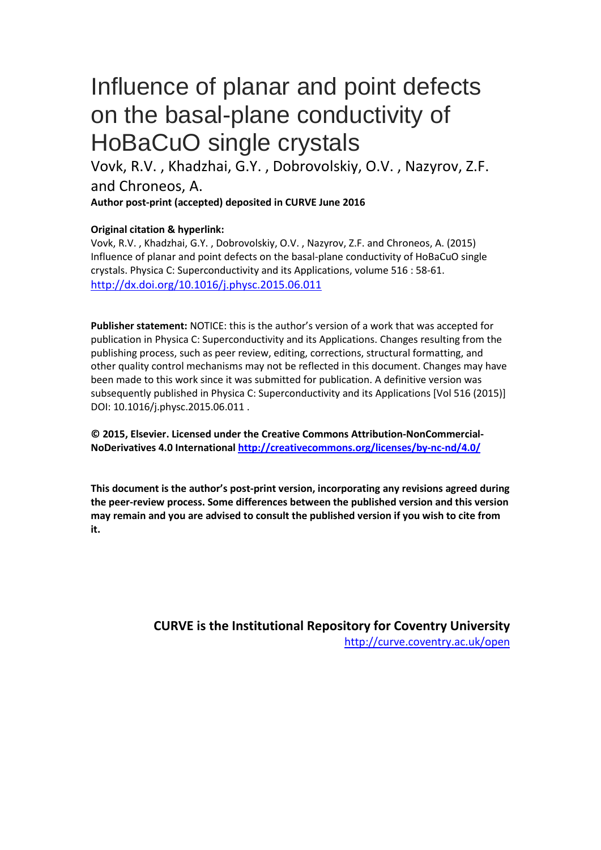# Influence of planar and point defects on the basal-plane conductivity of HoBaCuO single crystals

Vovk, R.V. , Khadzhai, G.Y. , Dobrovolskiy, O.V. , Nazyrov, Z.F. and Chroneos, A.

**Author post-print (accepted) deposited in CURVE June 2016**

### **Original citation & hyperlink:**

Vovk, R.V. , Khadzhai, G.Y. , Dobrovolskiy, O.V. , Nazyrov, Z.F. and Chroneos, A. (2015) Influence of planar and point defects on the basal-plane conductivity of HoBaCuO single crystals. Physica C: Superconductivity and its Applications, volume 516 : 58-61. <http://dx.doi.org/10.1016/j.physc.2015.06.011>

**Publisher statement:** NOTICE: this is the author's version of a work that was accepted for publication in Physica C: Superconductivity and its Applications. Changes resulting from the publishing process, such as peer review, editing, corrections, structural formatting, and other quality control mechanisms may not be reflected in this document. Changes may have been made to this work since it was submitted for publication. A definitive version was subsequently published in Physica C: Superconductivity and its Applications [Vol 516 (2015)] DOI: 10.1016/j.physc.2015.06.011 .

**© 2015, Elsevier. Licensed under the Creative Commons Attribution-NonCommercial-NoDerivatives 4.0 International<http://creativecommons.org/licenses/by-nc-nd/4.0/>**

**This document is the author's post-print version, incorporating any revisions agreed during the peer-review process. Some differences between the published version and this version may remain and you are advised to consult the published version if you wish to cite from it.** 

> **CURVE is the Institutional Repository for Coventry University** <http://curve.coventry.ac.uk/open>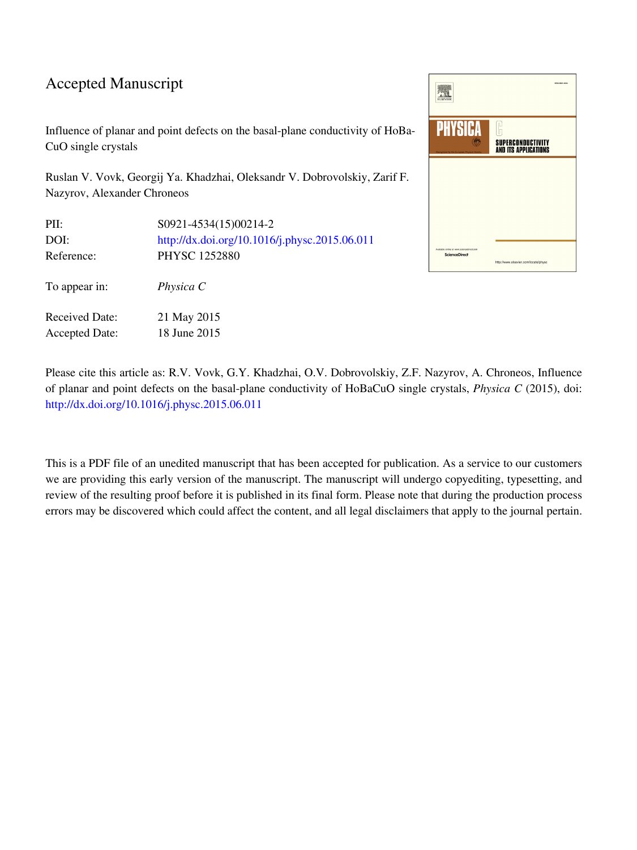### Accepted Manuscript

Influence of planar and point defects on the basal-plane conductivity of HoBa-CuO single crystals

Ruslan V. Vovk, Georgij Ya. Khadzhai, Oleksandr V. Dobrovolskiy, Zarif F. Nazyrov, Alexander Chroneos

| PII:                  | S0921-4534(15)00214-2                         |
|-----------------------|-----------------------------------------------|
| DOI:                  | http://dx.doi.org/10.1016/j.physc.2015.06.011 |
| Reference:            | PHYSC 1252880                                 |
| To appear in:         | Physica C                                     |
| Received Date:        | 21 May 2015                                   |
| <b>Accepted Date:</b> | 18 June 2015                                  |

| <b>ELSEVIER</b>                                                   | 155N 0921-0534                                          |
|-------------------------------------------------------------------|---------------------------------------------------------|
| <b>PHYSICA</b><br>Recognized by the European Physical Soci        | <b>SUPERCONDUCTIVITY</b><br><b>AND ITS APPLICATIONS</b> |
|                                                                   |                                                         |
|                                                                   |                                                         |
| Available online at www.sciencedirect.com<br><b>ScienceDirect</b> | http://www.elsevier.com/locate/physc                    |

Please cite this article as: R.V. Vovk, G.Y. Khadzhai, O.V. Dobrovolskiy, Z.F. Nazyrov, A. Chroneos, Influence of planar and point defects on the basal-plane conductivity of HoBaCuO single crystals, *Physica C* (2015), doi: [http://dx.doi.org/10.1016/j.physc.2015.06.011](http://dx.doi.org/http://dx.doi.org/10.1016/j.physc.2015.06.011)

This is a PDF file of an unedited manuscript that has been accepted for publication. As a service to our customers we are providing this early version of the manuscript. The manuscript will undergo copyediting, typesetting, and review of the resulting proof before it is published in its final form. Please note that during the production process errors may be discovered which could affect the content, and all legal disclaimers that apply to the journal pertain.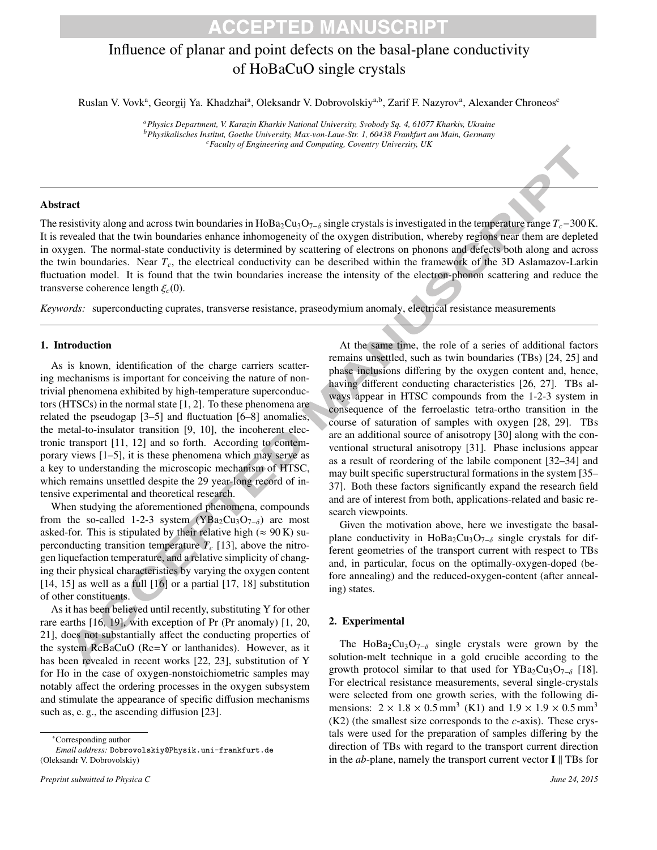### **ACCEPTED MANUSCRIPT**

### Influence of planar and point defects on the basal-plane conductivity of HoBaCuO single crystals

Ruslan V. Vovk<sup>a</sup>, Georgij Ya. Khadzhai<sup>a</sup>, Oleksandr V. Dobrovolskiy<sup>a,b</sup>, Zarif F. Nazyrov<sup>a</sup>, Alexander Chroneos<sup>c</sup>

*<sup>a</sup>Physics Department, V. Karazin Kharkiv National University, Svobody Sq. 4, 61077 Kharkiv, Ukraine <sup>b</sup>Physikalisches Institut, Goethe University, Max-von-Laue-Str. 1, 60438 Frankfurt am Main, Germany <sup>c</sup>Faculty of Engineering and Computing, Coventry University, UK*

#### Abstract

The resistivity along and across twin boundaries in HoBa<sub>2</sub>Cu<sub>3</sub>O<sub>7−δ</sub> single crystals is investigated in the temperature range  $T_c$ -300 K. It is revealed that the twin boundaries enhance inhomogeneity of the oxygen distribution, whereby regions near them are depleted in oxygen. The normal-state conductivity is determined by scattering of electrons on phonons and defects both along and across the twin boundaries. Near *Tc*, the electrical conductivity can be described within the framework of the 3D Aslamazov-Larkin fluctuation model. It is found that the twin boundaries increase the intensity of the electron-phonon scattering and reduce the transverse coherence length  $\xi_c(0)$ .

*Keywords:* superconducting cuprates, transverse resistance, praseodymium anomaly, electrical resistance measurements

#### 1. Introduction

As is known, identification of the charge carriers scattering mechanisms is important for conceiving the nature of nontrivial phenomena exhibited by high-temperature superconductors (HTSCs) in the normal state [1, 2]. To these phenomena are related the pseudogap [3–5] and fluctuation [6–8] anomalies, the metal-to-insulator transition [9, 10], the incoherent electronic transport [11, 12] and so forth. According to contemporary views [1–5], it is these phenomena which may serve as a key to understanding the microscopic mechanism of HTSC, which remains unsettled despite the 29 year-long record of intensive experimental and theoretical research.

When studying the aforementioned phenomena, compounds from the so-called 1-2-3 system (YBa<sub>2</sub>Cu<sub>3</sub>O<sub>7- $\delta$ </sub>) are most asked-for. This is stipulated by their relative high ( $\approx 90$  K) superconducting transition temperature  $T_c$  [13], above the nitrogen liquefaction temperature, and a relative simplicity of changing their physical characteristics by varying the oxygen content [14, 15] as well as a full [16] or a partial [17, 18] substitution of other constituents.

As it has been believed until recently, substituting Y for other rare earths [16, 19], with exception of Pr (Pr anomaly) [1, 20, 21], does not substantially affect the conducting properties of the system ReBaCuO (Re=Y or lanthanides). However, as it has been revealed in recent works [22, 23], substitution of Y for Ho in the case of oxygen-nonstoichiometric samples may notably affect the ordering processes in the oxygen subsystem and stimulate the appearance of specific diffusion mechanisms such as, e. g., the ascending diffusion [23].

*Email address:* Dobrovolskiy@Physik.uni-frankfurt.de (Oleksandr V. Dobrovolskiy)

At the same time, the role of a series of additional factors remains unsettled, such as twin boundaries (TBs) [24, 25] and phase inclusions differing by the oxygen content and, hence, having different conducting characteristics [26, 27]. TBs always appear in HTSC compounds from the 1-2-3 system in consequence of the ferroelastic tetra-ortho transition in the course of saturation of samples with oxygen [28, 29]. TBs are an additional source of anisotropy [30] along with the conventional structural anisotropy [31]. Phase inclusions appear as a result of reordering of the labile component [32–34] and may built specific superstructural formations in the system [35– 37]. Both these factors significantly expand the research field and are of interest from both, applications-related and basic research viewpoints.

Given the motivation above, here we investigate the basalplane conductivity in HoBa<sub>2</sub>Cu<sub>3</sub>O<sub>7−δ</sub> single crystals for different geometries of the transport current with respect to TBs and, in particular, focus on the optimally-oxygen-doped (before annealing) and the reduced-oxygen-content (after annealing) states.

#### 2. Experimental

The HoBa<sub>2</sub>Cu<sub>3</sub>O<sub>7−δ</sub> single crystals were grown by the solution-melt technique in a gold crucible according to the growth protocol similar to that used for YBa<sub>2</sub>Cu<sub>3</sub>O<sub>7−δ</sub> [18]. For electrical resistance measurements, several single-crystals were selected from one growth series, with the following dimensions:  $2 \times 1.8 \times 0.5$  mm<sup>3</sup> (K1) and  $1.9 \times 1.9 \times 0.5$  mm<sup>3</sup> (K2) (the smallest size corresponds to the *c*-axis). These crystals were used for the preparation of samples differing by the direction of TBs with regard to the transport current direction in the *ab*-plane, namely the transport current vector I ∥ TBs for

<sup>∗</sup>Corresponding author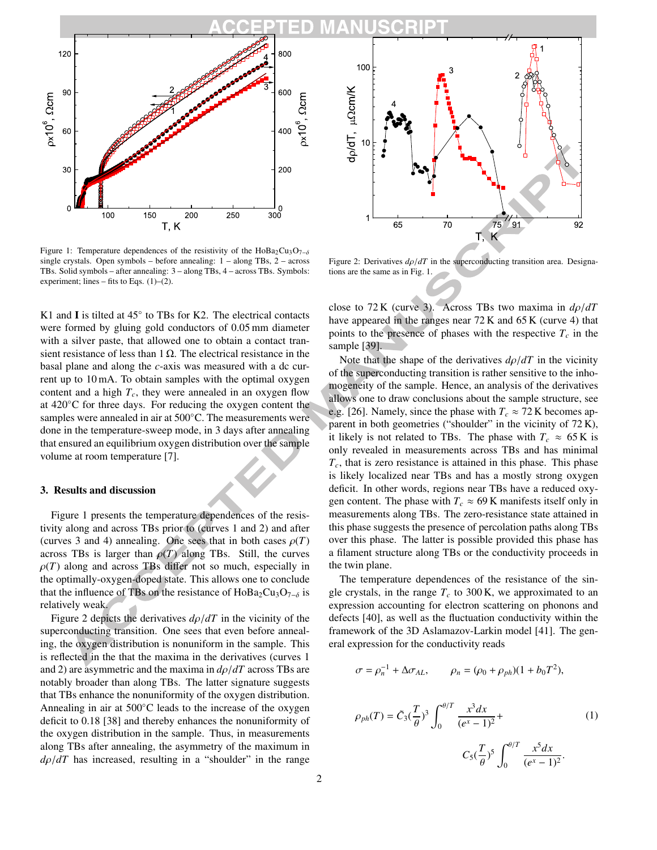

Figure 1: Temperature dependences of the resistivity of the HoBa<sub>2</sub>Cu<sub>3</sub>O<sub>7- $\delta$ </sub> single crystals. Open symbols – before annealing: 1 – along TBs, 2 – across TBs. Solid symbols – after annealing: 3 – along TBs, 4 – across TBs. Symbols: experiment; lines – fits to Eqs.  $(1)$ – $(2)$ .

K1 and I is tilted at  $45^\circ$  to TBs for K2. The electrical contacts were formed by gluing gold conductors of 0.05 mm diameter with a silver paste, that allowed one to obtain a contact transient resistance of less than  $1 \Omega$ . The electrical resistance in the basal plane and along the *c*-axis was measured with a dc current up to 10 mA. To obtain samples with the optimal oxygen content and a high *Tc*, they were annealed in an oxygen flow at 420◦C for three days. For reducing the oxygen content the samples were annealed in air at 500°C. The measurements were done in the temperature-sweep mode, in 3 days after annealing that ensured an equilibrium oxygen distribution over the sample volume at room temperature [7].

#### 3. Results and discussion

Figure 1 presents the temperature dependences of the resistivity along and across TBs prior to (curves 1 and 2) and after (curves 3 and 4) annealing. One sees that in both cases  $\rho(T)$ across TBs is larger than  $\rho(T)$  along TBs. Still, the curves  $\rho(T)$  along and across TBs differ not so much, especially in the optimally-oxygen-doped state. This allows one to conclude that the influence of TBs on the resistance of HoBa<sub>2</sub>Cu<sub>3</sub>O<sub>7−δ</sub> is relatively weak.

Figure 2 depicts the derivatives *d*ρ/*dT* in the vicinity of the superconducting transition. One sees that even before annealing, the oxygen distribution is nonuniform in the sample. This is reflected in the that the maxima in the derivatives (curves 1 and 2) are asymmetric and the maxima in  $d\rho/dT$  across TBs are notably broader than along TBs. The latter signature suggests that TBs enhance the nonuniformity of the oxygen distribution. Annealing in air at 500◦C leads to the increase of the oxygen deficit to 0.18 [38] and thereby enhances the nonuniformity of the oxygen distribution in the sample. Thus, in measurements along TBs after annealing, the asymmetry of the maximum in  $d\rho/dT$  has increased, resulting in a "shoulder" in the range



Figure 2: Derivatives  $d\rho/dT$  in the superconducting transition area. Designations are the same as in Fig. 1.

close to 72 K (curve 3). Across TBs two maxima in *d*ρ/*dT* have appeared in the ranges near 72 K and 65 K (curve 4) that points to the presence of phases with the respective  $T_c$  in the sample [39].

Note that the shape of the derivatives  $d\rho/dT$  in the vicinity of the superconducting transition is rather sensitive to the inhomogeneity of the sample. Hence, an analysis of the derivatives allows one to draw conclusions about the sample structure, see e.g. [26]. Namely, since the phase with  $T_c \approx 72$  K becomes apparent in both geometries ("shoulder" in the vicinity of 72 K), it likely is not related to TBs. The phase with  $T_c \approx 65 \text{ K}$  is only revealed in measurements across TBs and has minimal  $T_c$ , that is zero resistance is attained in this phase. This phase is likely localized near TBs and has a mostly strong oxygen deficit. In other words, regions near TBs have a reduced oxygen content. The phase with  $T_c \approx 69$  K manifests itself only in measurements along TBs. The zero-resistance state attained in this phase suggests the presence of percolation paths along TBs over this phase. The latter is possible provided this phase has a filament structure along TBs or the conductivity proceeds in the twin plane.

The temperature dependences of the resistance of the single crystals, in the range  $T_c$  to 300 K, we approximated to an expression accounting for electron scattering on phonons and defects [40], as well as the fluctuation conductivity within the framework of the 3D Aslamazov-Larkin model [41]. The general expression for the conductivity reads

$$
\sigma = \rho_n^{-1} + \Delta \sigma_{AL}, \qquad \rho_n = (\rho_0 + \rho_{ph})(1 + b_0 T^2),
$$
  

$$
\rho_{ph}(T) = \tilde{C}_3(\frac{T}{\theta})^3 \int_0^{\theta/T} \frac{x^3 dx}{(e^x - 1)^2} + C_5(\frac{T}{\theta})^5 \int_0^{\theta/T} \frac{x^5 dx}{(e^x - 1)^2}.
$$
 (1)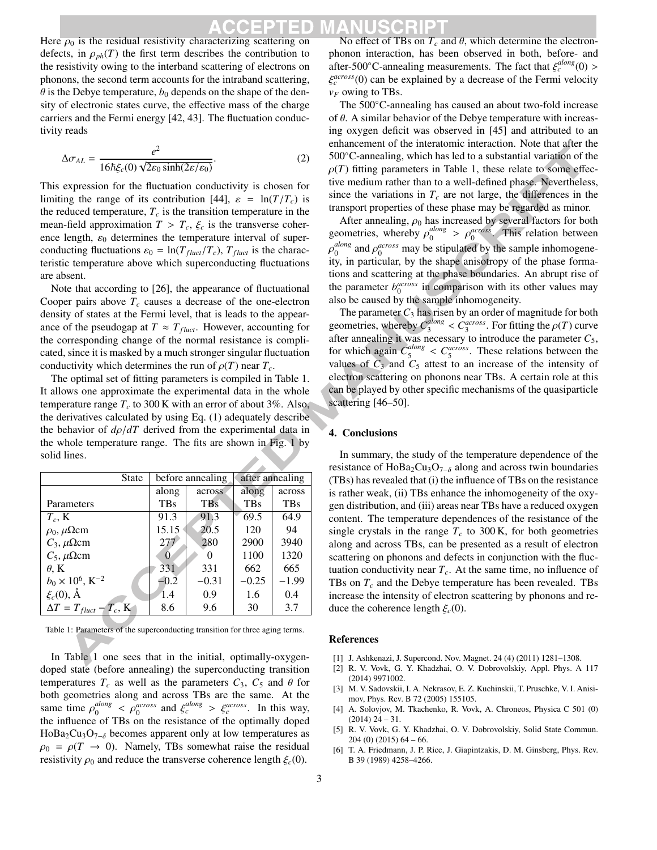Here  $\rho_0$  is the residual resistivity characterizing scattering on defects, in  $\rho_{ph}(T)$  the first term describes the contribution to the resistivity owing to the interband scattering of electrons on phonons, the second term accounts for the intraband scattering,  $\theta$  is the Debye temperature,  $b_0$  depends on the shape of the density of electronic states curve, the effective mass of the charge carriers and the Fermi energy [42, 43]. The fluctuation conductivity reads

$$
\Delta \sigma_{AL} = \frac{e^2}{16\hbar \xi_c(0) \sqrt{2\varepsilon_0 \sinh(2\varepsilon/\varepsilon_0)}}.
$$
\n(2)

This expression for the fluctuation conductivity is chosen for limiting the range of its contribution [44],  $\varepsilon = \ln(T/T_c)$  is the reduced temperature,  $T_c$  is the transition temperature in the mean-field approximation  $T > T_c$ ,  $\xi_c$  is the transverse coherence length,  $\varepsilon_0$  determines the temperature interval of superconducting fluctuations  $\varepsilon_0 = \ln(T_{fluct}/T_c)$ ,  $T_{fluct}$  is the characteristic temperature above which superconducting fluctuations are absent.

Note that according to [26], the appearance of fluctuational Cooper pairs above  $T_c$  causes a decrease of the one-electron density of states at the Fermi level, that is leads to the appearance of the pseudogap at  $T \approx T_{fluct}$ . However, accounting for the corresponding change of the normal resistance is complicated, since it is masked by a much stronger singular fluctuation conductivity which determines the run of  $\rho(T)$  near  $T_c$ .

The optimal set of fitting parameters is compiled in Table 1. It allows one approximate the experimental data in the whole temperature range  $T_c$  to 300 K with an error of about 3%. Also, the derivatives calculated by using Eq. (1) adequately describe the behavior of  $d\rho/dT$  derived from the experimental data in the whole temperature range. The fits are shown in Fig. 1 by solid lines. **Service** 

| <b>State</b>                        | before annealing |            | after annealing |            |
|-------------------------------------|------------------|------------|-----------------|------------|
|                                     | along            | across     | along           | across     |
| Parameters                          | <b>TBs</b>       | <b>TBs</b> | <b>TBs</b>      | <b>TBs</b> |
| $T_c$ , K                           | 91.3             | 91.3       | 69.5            | 64.9       |
| $\rho_0$ , $\mu \Omega$ cm          | 15.15            | 20.5       | 120             | 94         |
| $C_3$ , $\mu \Omega$ cm             | 277              | 280        | 2900            | 3940       |
| $C_5$ , $\mu \Omega$ cm             | $\Omega$         |            | 1100            | 1320       |
| $\theta$ . K                        | 331              | 331        | 662             | 665        |
| $b_0 \times 10^6$ , K <sup>-2</sup> | $-0.2$           | $-0.31$    | $-0.25$         | $-1.99$    |
| $\xi_c(0), \AA$                     | 1.4              | 0.9        | 1.6             | 0.4        |
| $\Delta T = T_{fluct} - T_c$ , K    | 8.6              | 9.6        | 30              | 3.7        |

Table 1: Parameters of the superconducting transition for three aging terms.

In Table 1 one sees that in the initial, optimally-oxygendoped state (before annealing) the superconducting transition temperatures  $T_c$  as well as the parameters  $C_3$ ,  $C_5$  and  $\theta$  for both geometries along and across TBs are the same. At the same time  $\rho_0^{along}$  $\varphi_0^{along} < \varphi_0^{across}$  and  $\xi_c^{along} > \xi_c^{across}$ . In this way, the influence of TBs on the resistance of the optimally doped HoBa<sub>2</sub>Cu<sub>3</sub>O<sub>7−δ</sub> becomes apparent only at low temperatures as  $\rho_0 = \rho(T \rightarrow 0)$ . Namely, TBs somewhat raise the residual resistivity  $\rho_0$  and reduce the transverse coherence length  $\xi_c(0)$ .

No effect of TBs on  $T_c$  and  $\theta$ , which determine the electronphonon interaction, has been observed in both, before- and after-500 $^{\circ}$ C-annealing measurements. The fact that  $\xi_c^{along}(0)$  > ξ *across c* (0) can be explained by a decrease of the Fermi velocity  $v_F$  owing to TBs.

The 500◦C-annealing has caused an about two-fold increase of  $\theta$ . A similar behavior of the Debye temperature with increasing oxygen deficit was observed in [45] and attributed to an enhancement of the interatomic interaction. Note that after the 500 °C-annealing, which has led to a substantial variation of the  $\rho(T)$  fitting parameters in Table 1, these relate to some effective medium rather than to a well-defined phase. Nevertheless, since the variations in  $T_c$  are not large, the differences in the transport properties of these phase may be regarded as minor.

After annealing,  $\rho_0$  has increased by several factors for both geometries, whereby  $\rho_0^{along}$  $\frac{along}{0}$  >  $\rho_0^{across}$ . This relation between ρ *along*  $\int_0^{along}$  and  $\rho_0^{across}$  may be stipulated by the sample inhomogeneity, in particular, by the shape anisotropy of the phase formations and scattering at the phase boundaries. An abrupt rise of the parameter  $b_0^{across}$  in comparison with its other values may also be caused by the sample inhomogeneity.

The parameter  $C_3$  has risen by an order of magnitude for both geometries, whereby *C along*  $S_3^{along} < C_3^{across}$ . For fitting the  $\rho(T)$  curve after annealing it was necessary to introduce the parameter  $C_5$ , for which again *C along*  $\frac{1}{5}$   $\leq C_5^{across}$ . These relations between the values of  $C_3$  and  $C_5$  attest to an increase of the intensity of electron scattering on phonons near TBs. A certain role at this can be played by other specific mechanisms of the quasiparticle scattering [46–50].

#### 4. Conclusions

In summary, the study of the temperature dependence of the resistance of HoBa<sub>2</sub>Cu<sub>3</sub>O<sub>7−δ</sub> along and across twin boundaries (TBs) has revealed that (i) the influence of TBs on the resistance is rather weak, (ii) TBs enhance the inhomogeneity of the oxygen distribution, and (iii) areas near TBs have a reduced oxygen content. The temperature dependences of the resistance of the single crystals in the range  $T_c$  to 300 K, for both geometries along and across TBs, can be presented as a result of electron scattering on phonons and defects in conjunction with the fluctuation conductivity near  $T_c$ . At the same time, no influence of TBs on  $T_c$  and the Debye temperature has been revealed. TBs increase the intensity of electron scattering by phonons and reduce the coherence length  $\xi_c(0)$ .

#### References

- [1] J. Ashkenazi, J. Supercond. Nov. Magnet. 24 (4) (2011) 1281–1308.
- [2] R. V. Vovk, G. Y. Khadzhai, O. V. Dobrovolskiy, Appl. Phys. A 117 (2014) 9971002.
- [3] M. V. Sadovskii, I. A. Nekrasov, E. Z. Kuchinskii, T. Pruschke, V. I. Anisimov, Phys. Rev. B 72 (2005) 155105.
- [4] A. Solovjov, M. Tkachenko, R. Vovk, A. Chroneos, Physica C 501 (0)  $(2014)$  24 – 31.
- [5] R. V. Vovk, G. Y. Khadzhai, O. V. Dobrovolskiy, Solid State Commun. 204 (0) (2015) 64 – 66.
- [6] T. A. Friedmann, J. P. Rice, J. Giapintzakis, D. M. Ginsberg, Phys. Rev. B 39 (1989) 4258–4266.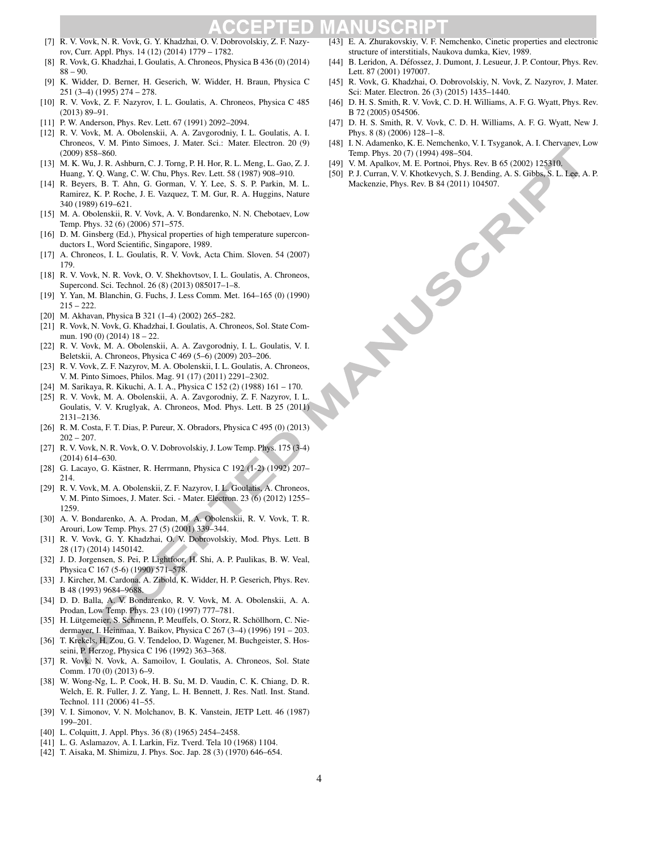### n

- [7] R. V. Vovk, N. R. Vovk, G. Y. Khadzhai, O. V. Dobrovolskiy, Z. F. Nazyrov, Curr. Appl. Phys. 14 (12) (2014) 1779 – 1782.
- R. Vovk, G. Khadzhai, I. Goulatis, A. Chroneos, Physica B 436 (0) (2014)  $88 - 90.$
- [9] K. Widder, D. Berner, H. Geserich, W. Widder, H. Braun, Physica C 251 (3–4) (1995) 274 – 278.
- [10] R. V. Vovk, Z. F. Nazyrov, I. L. Goulatis, A. Chroneos, Physica C 485 (2013) 89–91.
- [11] P. W. Anderson, Phys. Rev. Lett. 67 (1991) 2092-2094.
- [12] R. V. Vovk, M. A. Obolenskii, A. A. Zavgorodniy, I. L. Goulatis, A. I. Chroneos, V. M. Pinto Simoes, J. Mater. Sci.: Mater. Electron. 20 (9) (2009) 858–860.
- [13] M. K. Wu, J. R. Ashburn, C. J. Torng, P. H. Hor, R. L. Meng, L. Gao, Z. J. Huang, Y. Q. Wang, C. W. Chu, Phys. Rev. Lett. 58 (1987) 908–910.
- [14] R. Beyers, B. T. Ahn, G. Gorman, V. Y. Lee, S. S. P. Parkin, M. L. Ramirez, K. P. Roche, J. E. Vazquez, T. M. Gur, R. A. Huggins, Nature 340 (1989) 619–621.
- [15] M. A. Obolenskii, R. V. Vovk, A. V. Bondarenko, N. N. Chebotaev, Low Temp. Phys. 32 (6) (2006) 571–575.
- [16] D. M. Ginsberg (Ed.), Physical properties of high temperature superconductors I., Word Scientific, Singapore, 1989.
- [17] A. Chroneos, I. L. Goulatis, R. V. Vovk, Acta Chim. Sloven. 54 (2007) 179.
- [18] R. V. Vovk, N. R. Vovk, O. V. Shekhovtsov, I. L. Goulatis, A. Chroneos, Supercond. Sci. Technol. 26 (8) (2013) 085017–1–8.
- [19] Y. Yan, M. Blanchin, G. Fuchs, J. Less Comm. Met. 164–165 (0) (1990)  $215 - 222$ .
- [20] M. Akhavan, Physica B 321 (1–4) (2002) 265–282.
- [21] R. Vovk, N. Vovk, G. Khadzhai, I. Goulatis, A. Chroneos, Sol. State Commun. 190 (0) (2014) 18 – 22.
- [22] R. V. Vovk, M. A. Obolenskii, A. A. Zavgorodniy, I. L. Goulatis, V. I. Beletskii, A. Chroneos, Physica C 469 (5–6) (2009) 203–206.
- [23] R. V. Vovk, Z. F. Nazyrov, M. A. Obolenskii, I. L. Goulatis, A. Chroneos, V. M. Pinto Simoes, Philos. Mag. 91 (17) (2011) 2291–2302.
- [24] M. Sarikaya, R. Kikuchi, A. I. A., Physica C 152 (2) (1988) 161 170.
- [25] R. V. Vovk, M. A. Obolenskii, A. A. Zavgorodniy, Z. F. Nazyrov, I. L. Goulatis, V. V. Kruglyak, A. Chroneos, Mod. Phys. Lett. B 25 (2011) 2131–2136.
- [26] R. M. Costa, F. T. Dias, P. Pureur, X. Obradors, Physica C 495 (0) (2013)  $202 - 207$ .
- [27] R. V. Vovk, N. R. Vovk, O. V. Dobrovolskiy, J. Low Temp. Phys. 175 (3-4) (2014) 614–630.
- [28] G. Lacayo, G. Kästner, R. Herrmann, Physica C 192 (1-2) (1992) 207– 214.
- [29] R. V. Vovk, M. A. Obolenskii, Z. F. Nazyrov, I. L. Goulatis, A. Chroneos, V. M. Pinto Simoes, J. Mater. Sci. - Mater. Electron. 23 (6) (2012) 1255– 1259.
- [30] A. V. Bondarenko, A. A. Prodan, M. A. Obolenskii, R. V. Vovk, T. R. Arouri, Low Temp. Phys. 27 (5) (2001) 339–344.
- [31] R. V. Vovk, G. Y. Khadzhai, O. V. Dobrovolskiy, Mod. Phys. Lett. B 28 (17) (2014) 1450142.
- [32] J. D. Jorgensen, S. Pei, P. Lightfoor, H. Shi, A. P. Paulikas, B. W. Veal, Physica C 167 (5-6) (1990) 571–578.
- [33] J. Kircher, M. Cardona, A. Zibold, K. Widder, H. P. Geserich, Phys. Rev. B 48 (1993) 9684–9688.
- [34] D. D. Balla, A. V. Bondarenko, R. V. Vovk, M. A. Obolenskii, A. A. Prodan, Low Temp. Phys. 23 (10) (1997) 777–781.
- [35] H. Lütgemeier, S. Schmenn, P. Meuffels, O. Storz, R. Schöllhorn, C. Niedermayer, I. Heinmaa, Y. Baikov, Physica C 267 (3–4) (1996) 191 – 203.
- [36] T. Krekels, H. Zou, G. V. Tendeloo, D. Wagener, M. Buchgeister, S. Hosseini, P. Herzog, Physica C 196 (1992) 363–368.
- [37] R. Vovk, N. Vovk, A. Samoilov, I. Goulatis, A. Chroneos, Sol. State Comm. 170 (0) (2013) 6–9.
- [38] W. Wong-Ng, L. P. Cook, H. B. Su, M. D. Vaudin, C. K. Chiang, D. R. Welch, E. R. Fuller, J. Z. Yang, L. H. Bennett, J. Res. Natl. Inst. Stand. Technol. 111 (2006) 41–55.
- [39] V. I. Simonov, V. N. Molchanov, B. K. Vanstein, JETP Lett. 46 (1987) 199–201.
- [40] L. Colquitt, J. Appl. Phys. 36 (8) (1965) 2454–2458.
- [41] L. G. Aslamazov, A. I. Larkin, Fiz. Tverd. Tela 10 (1968) 1104.
- [42] T. Aisaka, M. Shimizu, J. Phys. Soc. Jap. 28 (3) (1970) 646–654.
- [43] E. A. Zhurakovskiy, V. F. Nemchenko, Cinetic properties and electronic structure of interstitials, Naukova dumka, Kiev, 1989.
- [44] B. Leridon, A. Défossez, J. Dumont, J. Lesueur, J. P. Contour, Phys. Rev. Lett. 87 (2001) 197007.
- [45] R. Vovk, G. Khadzhai, O. Dobrovolskiy, N. Vovk, Z. Nazyrov, J. Mater. Sci: Mater. Electron. 26 (3) (2015) 1435–1440.
- [46] D. H. S. Smith, R. V. Vovk, C. D. H. Williams, A. F. G. Wyatt, Phys. Rev. B 72 (2005) 054506.
- [47] D. H. S. Smith, R. V. Vovk, C. D. H. Williams, A. F. G. Wyatt, New J. Phys. 8 (8) (2006) 128–1–8.
- [48] I. N. Adamenko, K. E. Nemchenko, V. I. Tsyganok, A. I. Chervanev, Low Temp. Phys. 20 (7) (1994) 498–504.
- [49] V. M. Apalkov, M. E. Portnoi, Phys. Rev. B 65 (2002) 125310.
- [50] P. J. Curran, V. V. Khotkevych, S. J. Bending, A. S. Gibbs, S. L. Lee, A. P. Mackenzie, Phys. Rev. B 84 (2011) 104507.